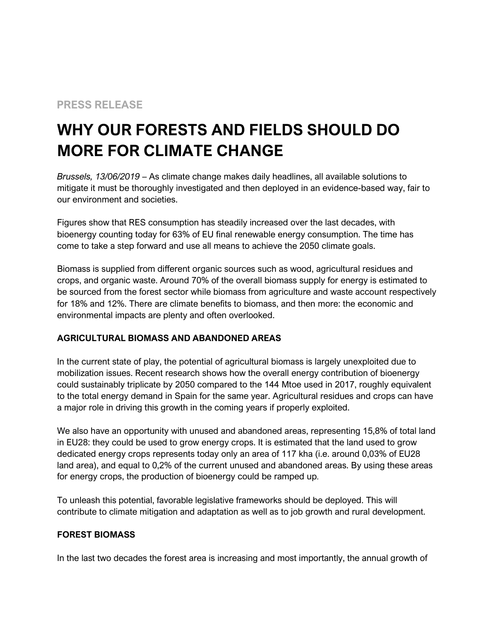## **PRESS RELEASE**

# **WHY OUR FORESTS AND FIELDS SHOULD DO MORE FOR CLIMATE CHANGE**

*Brussels, 13/06/2019* – As climate change makes daily headlines, all available solutions to mitigate it must be thoroughly investigated and then deployed in an evidence-based way, fair to our environment and societies.

Figures show that RES consumption has steadily increased over the last decades, with bioenergy counting today for 63% of EU final renewable energy consumption. The time has come to take a step forward and use all means to achieve the 2050 climate goals.

Biomass is supplied from different organic sources such as wood, agricultural residues and crops, and organic waste. Around 70% of the overall biomass supply for energy is estimated to be sourced from the forest sector while biomass from agriculture and waste account respectively for 18% and 12%. There are climate benefits to biomass, and then more: the economic and environmental impacts are plenty and often overlooked.

#### **AGRICULTURAL BIOMASS AND ABANDONED AREAS**

In the current state of play, the potential of agricultural biomass is largely unexploited due to mobilization issues. Recent research shows how the overall energy contribution of bioenergy could sustainably triplicate by 2050 compared to the 144 Mtoe used in 2017, roughly equivalent to the total energy demand in Spain for the same year. Agricultural residues and crops can have a major role in driving this growth in the coming years if properly exploited.

We also have an opportunity with unused and abandoned areas, representing 15,8% of total land in EU28: they could be used to grow energy crops. It is estimated that the land used to grow dedicated energy crops represents today only an area of 117 kha (i.e. around 0,03% of EU28 land area), and equal to 0,2% of the current unused and abandoned areas. By using these areas for energy crops, the production of bioenergy could be ramped up.

To unleash this potential, favorable legislative frameworks should be deployed. This will contribute to climate mitigation and adaptation as well as to job growth and rural development.

#### **FOREST BIOMASS**

In the last two decades the forest area is increasing and most importantly, the annual growth of